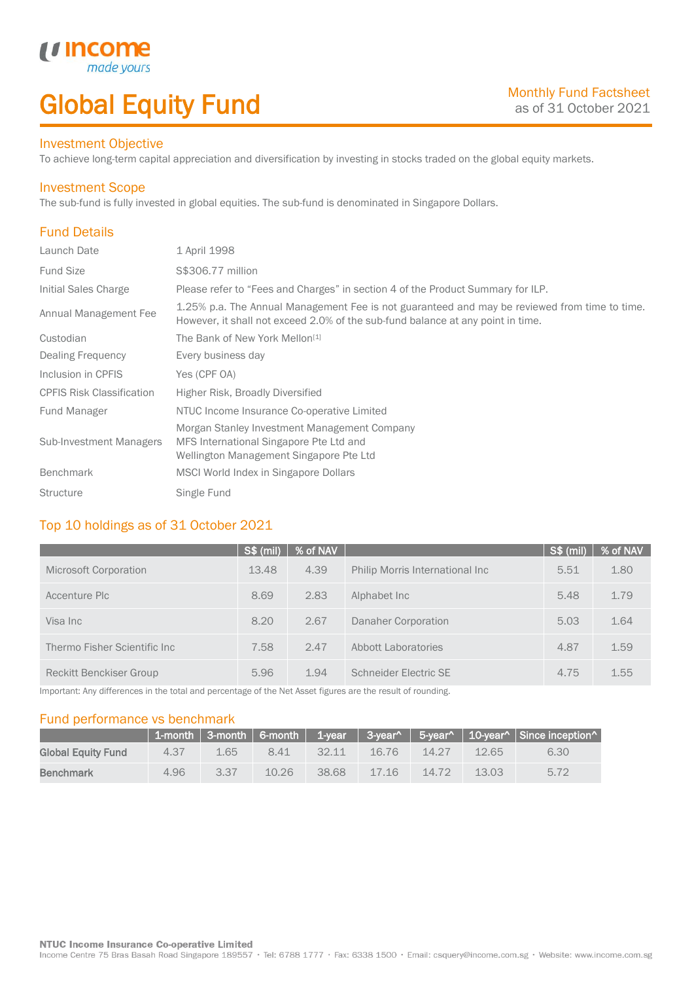## Global Equity Fund

### Investment Objective

made yo

*u* incom

To achieve long-term capital appreciation and diversification by investing in stocks traded on the global equity markets.

### Investment Scope

The sub-fund is fully invested in global equities. The sub-fund is denominated in Singapore Dollars.

### Fund Details

I

| Launch Date                      | 1 April 1998                                                                                                                                                                     |
|----------------------------------|----------------------------------------------------------------------------------------------------------------------------------------------------------------------------------|
| <b>Fund Size</b>                 | S\$306.77 million                                                                                                                                                                |
| Initial Sales Charge             | Please refer to "Fees and Charges" in section 4 of the Product Summary for ILP.                                                                                                  |
| Annual Management Fee            | 1.25% p.a. The Annual Management Fee is not guaranteed and may be reviewed from time to time.<br>However, it shall not exceed 2.0% of the sub-fund balance at any point in time. |
| Custodian                        | The Bank of New York Mellon <sup>[1]</sup>                                                                                                                                       |
| Dealing Frequency                | Every business day                                                                                                                                                               |
| Inclusion in CPFIS               | Yes (CPF OA)                                                                                                                                                                     |
| <b>CPFIS Risk Classification</b> | Higher Risk, Broadly Diversified                                                                                                                                                 |
| <b>Fund Manager</b>              | NTUC Income Insurance Co-operative Limited                                                                                                                                       |
| <b>Sub-Investment Managers</b>   | Morgan Stanley Investment Management Company<br>MFS International Singapore Pte Ltd and<br>Wellington Management Singapore Pte Ltd                                               |
| <b>Benchmark</b>                 | MSCI World Index in Singapore Dollars                                                                                                                                            |
| <b>Structure</b>                 | Single Fund                                                                                                                                                                      |

### Top 10 holdings as of 31 October 2021

|                                | S\$ (mil) | % of NAV |                                 | $S$ \$ (mil) | % of NAV |
|--------------------------------|-----------|----------|---------------------------------|--------------|----------|
| Microsoft Corporation          | 13.48     | 4.39     | Philip Morris International Inc | 5.51         | 1.80     |
| Accenture Plc                  | 8.69      | 2.83     | Alphabet Inc.                   | 5.48         | 1.79     |
| Visa Inc                       | 8.20      | 2.67     | Danaher Corporation             | 5.03         | 1.64     |
| Thermo Fisher Scientific Inc.  | 7.58      | 2.47     | Abbott Laboratories             | 4.87         | 1.59     |
| <b>Reckitt Benckiser Group</b> | 5.96      | 1.94     | Schneider Electric SE           | 4.75         | 1.55     |

Important: Any differences in the total and percentage of the Net Asset figures are the result of rounding.

### Fund performance vs benchmark

|                    |      |      |       |       |       |          |       | 1-month   3-month   6-month   1-year   3-year^   5-year^   10-year^   Since inception^ |
|--------------------|------|------|-------|-------|-------|----------|-------|----------------------------------------------------------------------------------------|
| Global Equity Fund | 4.37 | 1.65 | 8.41  | 32.11 | 16.76 | $-14.27$ | 12.65 | 6.30                                                                                   |
| <b>Benchmark</b>   | 4.96 | 3.37 | 10.26 | 38.68 | 17.16 | 14.72    | 13.03 | 5.72                                                                                   |